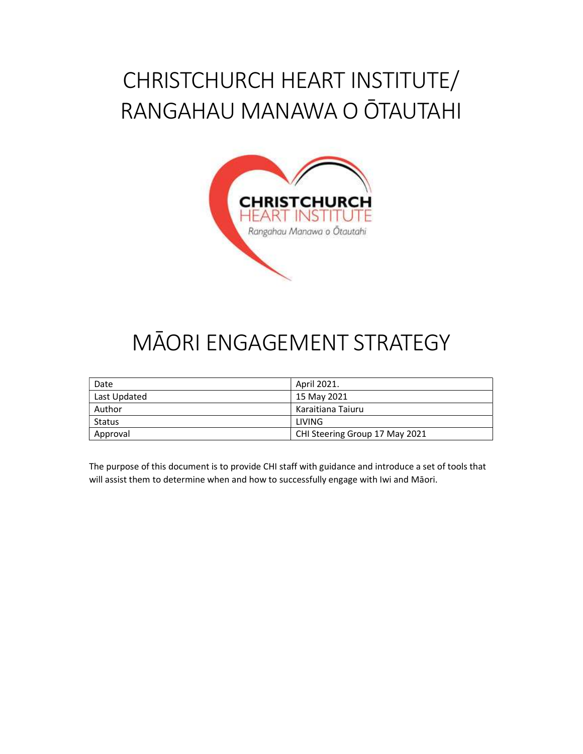# CHRISTCHURCH HEART INSTITUTE/ RANGAHAU MANAWA O ŌTAUTAHI



# MĀORI ENGAGEMENT STRATEGY

| Date         | April 2021.                    |
|--------------|--------------------------------|
| Last Updated | 15 May 2021                    |
| Author       | Karaitiana Taiuru              |
| Status       | LIVING                         |
| Approval     | CHI Steering Group 17 May 2021 |

The purpose of this document is to provide CHI staff with guidance and introduce a set of tools that will assist them to determine when and how to successfully engage with Iwi and Māori.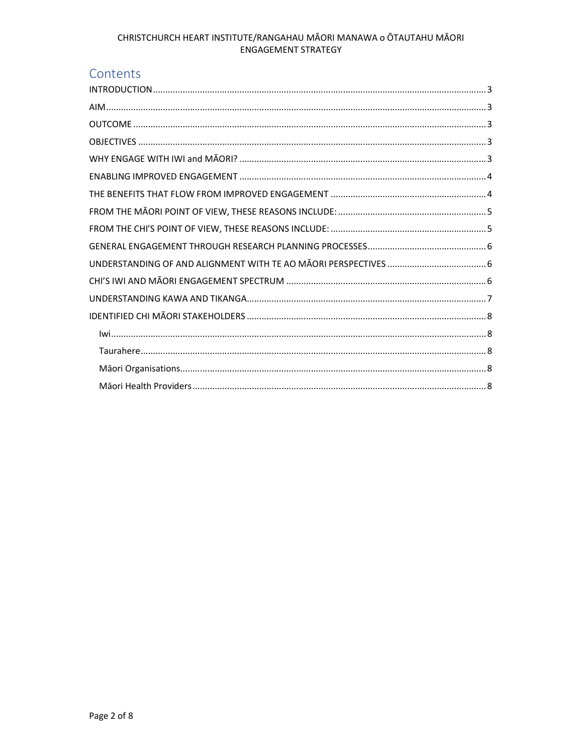# Contents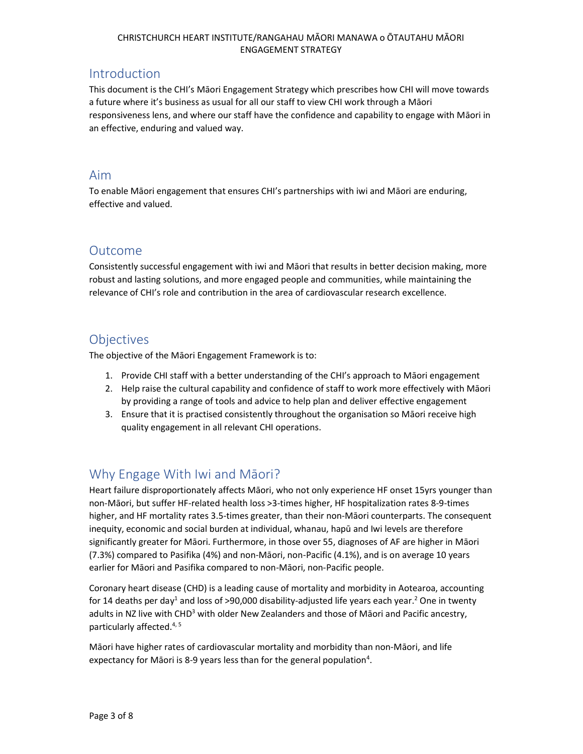## Introduction

This document is the CHI's Māori Engagement Strategy which prescribes how CHI will move towards a future where it's business as usual for all our staff to view CHI work through a Māori responsiveness lens, and where our staff have the confidence and capability to engage with Māori in an effective, enduring and valued way.

## Aim

To enable Māori engagement that ensures CHI's partnerships with iwi and Māori are enduring, effective and valued.

## Outcome

Consistently successful engagement with iwi and Māori that results in better decision making, more robust and lasting solutions, and more engaged people and communities, while maintaining the relevance of CHI's role and contribution in the area of cardiovascular research excellence.

# **Objectives**

The objective of the Māori Engagement Framework is to:

- 1. Provide CHI staff with a better understanding of the CHI's approach to Māori engagement
- 2. Help raise the cultural capability and confidence of staff to work more effectively with Māori by providing a range of tools and advice to help plan and deliver effective engagement
- 3. Ensure that it is practised consistently throughout the organisation so Māori receive high quality engagement in all relevant CHI operations.

# Why Engage With Iwi and Māori?

Heart failure disproportionately affects Māori, who not only experience HF onset 15yrs younger than non-Māori, but suffer HF-related health loss >3-times higher, HF hospitalization rates 8-9-times higher, and HF mortality rates 3.5-times greater, than their non-Māori counterparts. The consequent inequity, economic and social burden at individual, whanau, hapū and Iwi levels are therefore significantly greater for Māori. Furthermore, in those over 55, diagnoses of AF are higher in Māori (7.3%) compared to Pasifika (4%) and non-Māori, non-Pacific (4.1%), and is on average 10 years earlier for Māori and Pasifika compared to non-Māori, non-Pacific people.

Coronary heart disease (CHD) is a leading cause of mortality and morbidity in Aotearoa, accounting for 14 deaths per day<sup>1</sup> and loss of >90,000 disability-adjusted life years each year.<sup>2</sup> One in twenty adults in NZ live with CHD<sup>3</sup> with older New Zealanders and those of Māori and Pacific ancestry, particularly affected.<sup>4, 5</sup>

Māori have higher rates of cardiovascular mortality and morbidity than non-Māori, and life expectancy for Māori is 8-9 years less than for the general population<sup>4</sup>.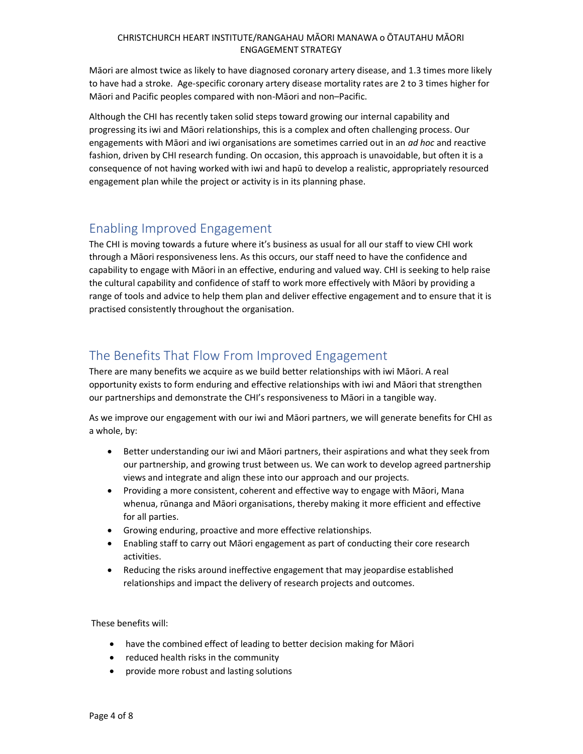Māori are almost twice as likely to have diagnosed coronary artery disease, and 1.3 times more likely to have had a stroke. Age-specific coronary artery disease mortality rates are 2 to 3 times higher for Māori and Pacific peoples compared with non-Māori and non–Pacific.

Although the CHI has recently taken solid steps toward growing our internal capability and progressing its iwi and Māori relationships, this is a complex and often challenging process. Our engagements with Māori and iwi organisations are sometimes carried out in an *ad hoc* and reactive fashion, driven by CHI research funding. On occasion, this approach is unavoidable, but often it is a consequence of not having worked with iwi and hapū to develop a realistic, appropriately resourced engagement plan while the project or activity is in its planning phase.

# Enabling Improved Engagement

The CHI is moving towards a future where it's business as usual for all our staff to view CHI work through a Māori responsiveness lens. As this occurs, our staff need to have the confidence and capability to engage with Māori in an effective, enduring and valued way. CHI is seeking to help raise the cultural capability and confidence of staff to work more effectively with Māori by providing a range of tools and advice to help them plan and deliver effective engagement and to ensure that it is practised consistently throughout the organisation.

# The Benefits That Flow From Improved Engagement

There are many benefits we acquire as we build better relationships with iwi Māori. A real opportunity exists to form enduring and effective relationships with iwi and Māori that strengthen our partnerships and demonstrate the CHI's responsiveness to Māori in a tangible way.

As we improve our engagement with our iwi and Māori partners, we will generate benefits for CHI as a whole, by:

- Better understanding our iwi and Māori partners, their aspirations and what they seek from our partnership, and growing trust between us. We can work to develop agreed partnership views and integrate and align these into our approach and our projects.
- Providing a more consistent, coherent and effective way to engage with Māori, Mana whenua, rūnanga and Māori organisations, thereby making it more efficient and effective for all parties.
- Growing enduring, proactive and more effective relationships.
- Enabling staff to carry out Māori engagement as part of conducting their core research activities.
- Reducing the risks around ineffective engagement that may jeopardise established relationships and impact the delivery of research projects and outcomes.

These benefits will:

- have the combined effect of leading to better decision making for Māori
- reduced health risks in the community
- provide more robust and lasting solutions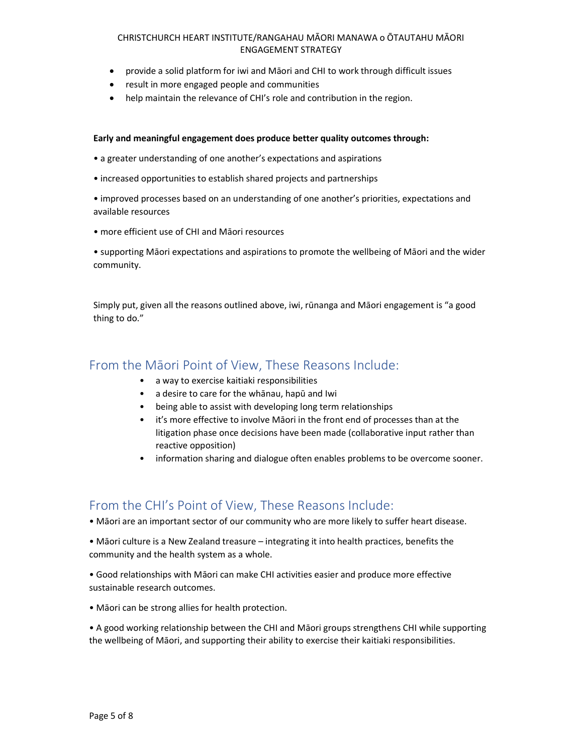- provide a solid platform for iwi and Māori and CHI to work through difficult issues
- result in more engaged people and communities
- help maintain the relevance of CHI's role and contribution in the region.

#### Early and meaningful engagement does produce better quality outcomes through:

- a greater understanding of one another's expectations and aspirations
- increased opportunities to establish shared projects and partnerships
- improved processes based on an understanding of one another's priorities, expectations and available resources
- more efficient use of CHI and Māori resources

• supporting Māori expectations and aspirations to promote the wellbeing of Māori and the wider community.

Simply put, given all the reasons outlined above, iwi, rūnanga and Māori engagement is "a good thing to do."

## From the Māori Point of View, These Reasons Include:

- a way to exercise kaitiaki responsibilities
- a desire to care for the whānau, hapū and Iwi
- being able to assist with developing long term relationships
- it's more effective to involve Māori in the front end of processes than at the litigation phase once decisions have been made (collaborative input rather than reactive opposition)
- information sharing and dialogue often enables problems to be overcome sooner.

## From the CHI's Point of View, These Reasons Include:

• Māori are an important sector of our community who are more likely to suffer heart disease.

• Māori culture is a New Zealand treasure – integrating it into health practices, benefits the community and the health system as a whole.

• Good relationships with Māori can make CHI activities easier and produce more effective sustainable research outcomes.

• Māori can be strong allies for health protection.

• A good working relationship between the CHI and Māori groups strengthens CHI while supporting the wellbeing of Māori, and supporting their ability to exercise their kaitiaki responsibilities.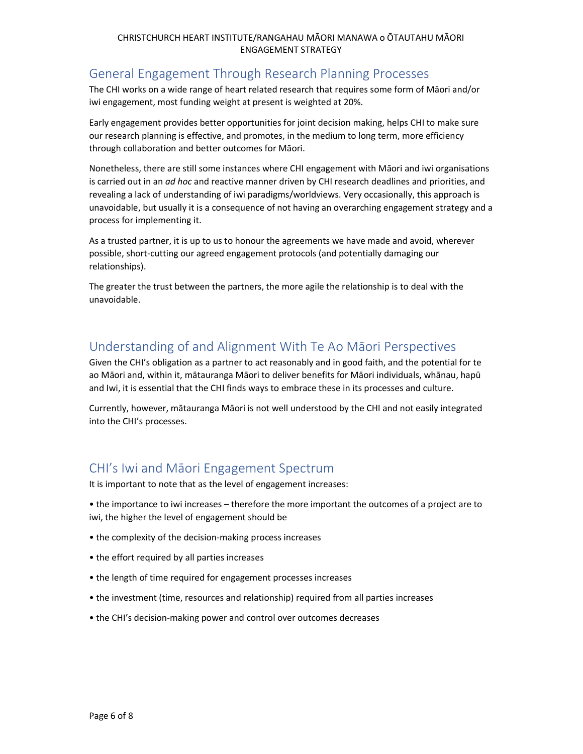# General Engagement Through Research Planning Processes

The CHI works on a wide range of heart related research that requires some form of Māori and/or iwi engagement, most funding weight at present is weighted at 20%.

Early engagement provides better opportunities for joint decision making, helps CHI to make sure our research planning is effective, and promotes, in the medium to long term, more efficiency through collaboration and better outcomes for Māori.

Nonetheless, there are still some instances where CHI engagement with Māori and iwi organisations is carried out in an *ad hoc* and reactive manner driven by CHI research deadlines and priorities, and revealing a lack of understanding of iwi paradigms/worldviews. Very occasionally, this approach is unavoidable, but usually it is a consequence of not having an overarching engagement strategy and a process for implementing it.

As a trusted partner, it is up to us to honour the agreements we have made and avoid, wherever possible, short-cutting our agreed engagement protocols (and potentially damaging our relationships).

The greater the trust between the partners, the more agile the relationship is to deal with the unavoidable.

## Understanding of and Alignment With Te Ao Māori Perspectives

Given the CHI's obligation as a partner to act reasonably and in good faith, and the potential for te ao Māori and, within it, mātauranga Māori to deliver benefits for Māori individuals, whānau, hapū and Iwi, it is essential that the CHI finds ways to embrace these in its processes and culture.

Currently, however, mātauranga Māori is not well understood by the CHI and not easily integrated into the CHI's processes.

# CHI's Iwi and Māori Engagement Spectrum

It is important to note that as the level of engagement increases:

• the importance to iwi increases – therefore the more important the outcomes of a project are to iwi, the higher the level of engagement should be

- the complexity of the decision-making process increases
- the effort required by all parties increases
- the length of time required for engagement processes increases
- the investment (time, resources and relationship) required from all parties increases
- the CHI's decision-making power and control over outcomes decreases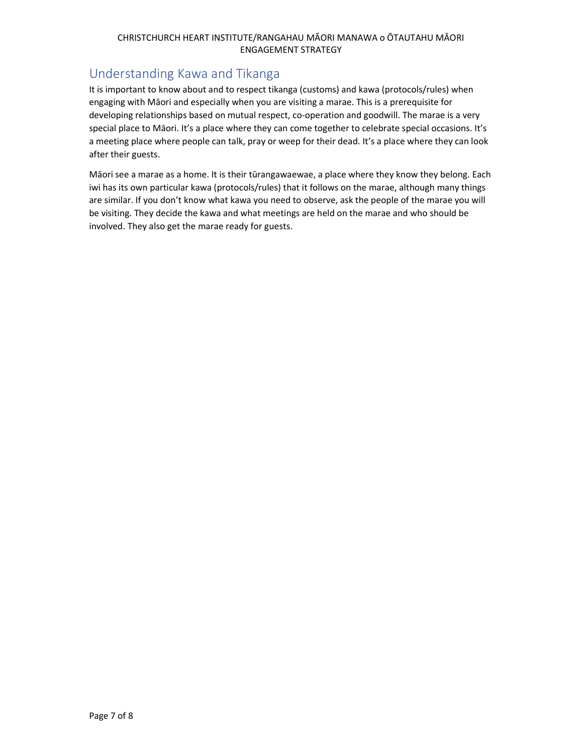# Understanding Kawa and Tikanga

It is important to know about and to respect tikanga (customs) and kawa (protocols/rules) when engaging with Māori and especially when you are visiting a marae. This is a prerequisite for developing relationships based on mutual respect, co-operation and goodwill. The marae is a very special place to Māori. It's a place where they can come together to celebrate special occasions. It's a meeting place where people can talk, pray or weep for their dead. It's a place where they can look after their guests.

Māori see a marae as a home. It is their tūrangawaewae, a place where they know they belong. Each iwi has its own particular kawa (protocols/rules) that it follows on the marae, although many things are similar. If you don't know what kawa you need to observe, ask the people of the marae you will be visiting. They decide the kawa and what meetings are held on the marae and who should be involved. They also get the marae ready for guests.